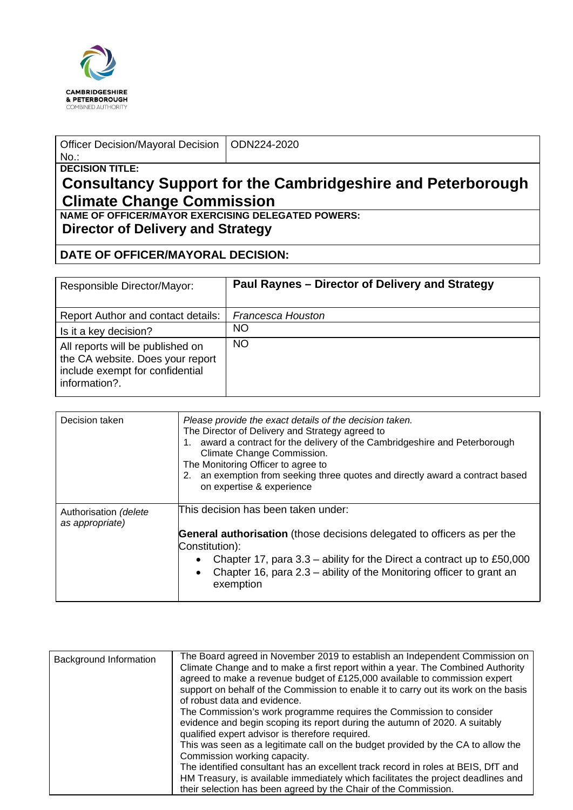

| Officer Decision/Mayoral Decision   ODN224-2020 |  |
|-------------------------------------------------|--|
| No.:                                            |  |
| <b>DECISION TITLE:</b>                          |  |

## **Consultancy Support for the Cambridgeshire and Peterborough Climate Change Commission**

**NAME OF OFFICER/MAYOR EXERCISING DELEGATED POWERS: Director of Delivery and Strategy**

## **DATE OF OFFICER/MAYORAL DECISION:**

| Responsible Director/Mayor:                                                                                              | Paul Raynes – Director of Delivery and Strategy |
|--------------------------------------------------------------------------------------------------------------------------|-------------------------------------------------|
| Report Author and contact details:                                                                                       | <b>Francesca Houston</b>                        |
| Is it a key decision?                                                                                                    | NO                                              |
| All reports will be published on<br>the CA website. Does your report<br>include exempt for confidential<br>information?. | <b>NO</b>                                       |

| Decision taken                           | Please provide the exact details of the decision taken.<br>The Director of Delivery and Strategy agreed to<br>award a contract for the delivery of the Cambridgeshire and Peterborough<br>Climate Change Commission.<br>The Monitoring Officer to agree to<br>2. an exemption from seeking three quotes and directly award a contract based<br>on expertise & experience |
|------------------------------------------|--------------------------------------------------------------------------------------------------------------------------------------------------------------------------------------------------------------------------------------------------------------------------------------------------------------------------------------------------------------------------|
| Authorisation (delete<br>as appropriate) | This decision has been taken under:<br><b>General authorisation</b> (those decisions delegated to officers as per the<br>Constitution):<br>Chapter 17, para $3.3$ – ability for the Direct a contract up to £50,000<br>Chapter 16, para 2.3 – ability of the Monitoring officer to grant an<br>$\bullet$<br>exemption                                                    |

| Background Information | The Board agreed in November 2019 to establish an Independent Commission on<br>Climate Change and to make a first report within a year. The Combined Authority<br>agreed to make a revenue budget of £125,000 available to commission expert<br>support on behalf of the Commission to enable it to carry out its work on the basis<br>of robust data and evidence.<br>The Commission's work programme requires the Commission to consider<br>evidence and begin scoping its report during the autumn of 2020. A suitably |
|------------------------|---------------------------------------------------------------------------------------------------------------------------------------------------------------------------------------------------------------------------------------------------------------------------------------------------------------------------------------------------------------------------------------------------------------------------------------------------------------------------------------------------------------------------|
|                        | qualified expert advisor is therefore required.<br>This was seen as a legitimate call on the budget provided by the CA to allow the<br>Commission working capacity.<br>The identified consultant has an excellent track record in roles at BEIS, DfT and                                                                                                                                                                                                                                                                  |
|                        | HM Treasury, is available immediately which facilitates the project deadlines and<br>their selection has been agreed by the Chair of the Commission.                                                                                                                                                                                                                                                                                                                                                                      |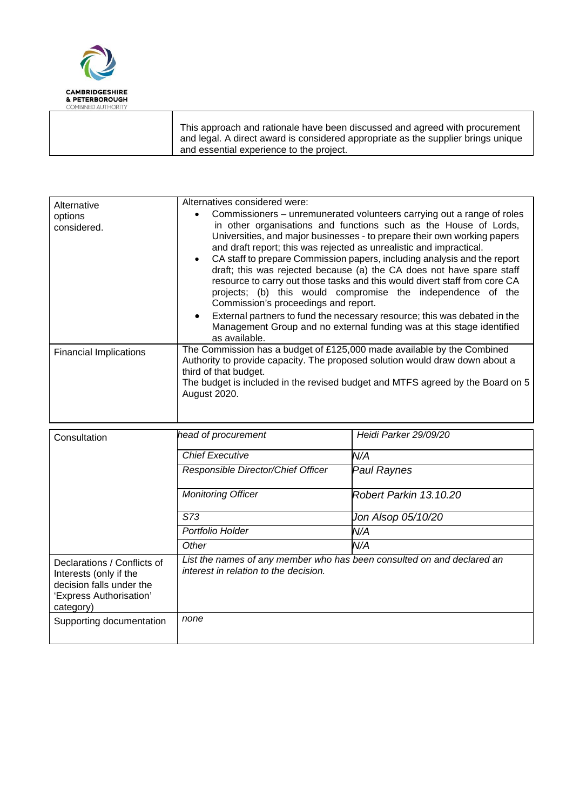

| Alternative                                                                                                               | Alternatives considered were:                                                                                                                                                                                                                                                                                                                                                                                                                                                                                                                                                                                                                                                                                                                                                                                               |                        |  |  |
|---------------------------------------------------------------------------------------------------------------------------|-----------------------------------------------------------------------------------------------------------------------------------------------------------------------------------------------------------------------------------------------------------------------------------------------------------------------------------------------------------------------------------------------------------------------------------------------------------------------------------------------------------------------------------------------------------------------------------------------------------------------------------------------------------------------------------------------------------------------------------------------------------------------------------------------------------------------------|------------------------|--|--|
| options<br>considered.                                                                                                    | Commissioners – unremunerated volunteers carrying out a range of roles<br>in other organisations and functions such as the House of Lords,<br>Universities, and major businesses - to prepare their own working papers<br>and draft report; this was rejected as unrealistic and impractical.<br>CA staff to prepare Commission papers, including analysis and the report<br>$\bullet$<br>draft; this was rejected because (a) the CA does not have spare staff<br>resource to carry out those tasks and this would divert staff from core CA<br>projects; (b) this would compromise the independence of the<br>Commission's proceedings and report.<br>External partners to fund the necessary resource; this was debated in the<br>Management Group and no external funding was at this stage identified<br>as available. |                        |  |  |
| <b>Financial Implications</b>                                                                                             | The Commission has a budget of £125,000 made available by the Combined<br>Authority to provide capacity. The proposed solution would draw down about a<br>third of that budget.<br>The budget is included in the revised budget and MTFS agreed by the Board on 5<br>August 2020.                                                                                                                                                                                                                                                                                                                                                                                                                                                                                                                                           |                        |  |  |
| Consultation                                                                                                              | head of procurement                                                                                                                                                                                                                                                                                                                                                                                                                                                                                                                                                                                                                                                                                                                                                                                                         | Heidi Parker 29/09/20  |  |  |
|                                                                                                                           | <b>Chief Executive</b>                                                                                                                                                                                                                                                                                                                                                                                                                                                                                                                                                                                                                                                                                                                                                                                                      | N/A                    |  |  |
|                                                                                                                           | Responsible Director/Chief Officer                                                                                                                                                                                                                                                                                                                                                                                                                                                                                                                                                                                                                                                                                                                                                                                          | <b>Paul Raynes</b>     |  |  |
|                                                                                                                           | <b>Monitoring Officer</b>                                                                                                                                                                                                                                                                                                                                                                                                                                                                                                                                                                                                                                                                                                                                                                                                   | Robert Parkin 13.10.20 |  |  |
|                                                                                                                           | S73                                                                                                                                                                                                                                                                                                                                                                                                                                                                                                                                                                                                                                                                                                                                                                                                                         | Jon Alsop 05/10/20     |  |  |
|                                                                                                                           | Portfolio Holder                                                                                                                                                                                                                                                                                                                                                                                                                                                                                                                                                                                                                                                                                                                                                                                                            | N/A                    |  |  |
|                                                                                                                           | Other                                                                                                                                                                                                                                                                                                                                                                                                                                                                                                                                                                                                                                                                                                                                                                                                                       | N/A                    |  |  |
| Declarations / Conflicts of<br>Interests (only if the<br>decision falls under the<br>'Express Authorisation'<br>category) | List the names of any member who has been consulted on and declared an<br>interest in relation to the decision.                                                                                                                                                                                                                                                                                                                                                                                                                                                                                                                                                                                                                                                                                                             |                        |  |  |
| Supporting documentation                                                                                                  | none                                                                                                                                                                                                                                                                                                                                                                                                                                                                                                                                                                                                                                                                                                                                                                                                                        |                        |  |  |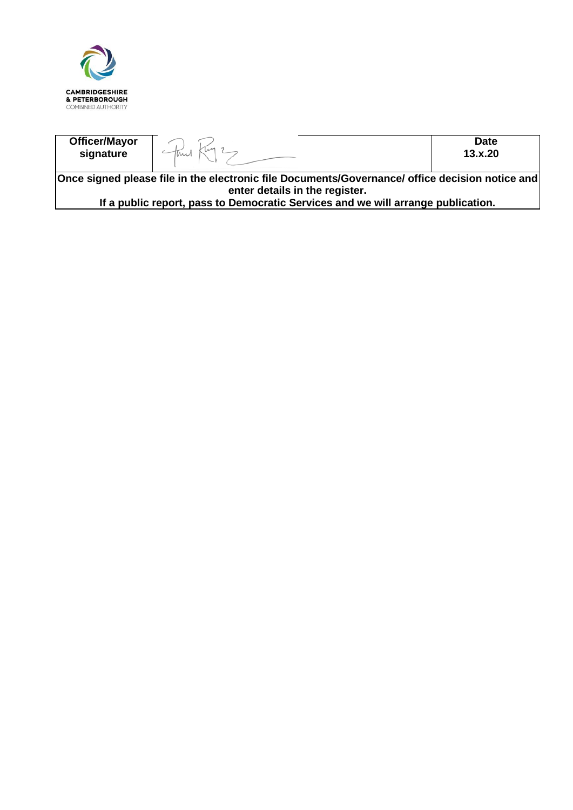

| <b>Officer/Mayor</b><br>signature                                                                                                 |  | <b>Date</b><br>13.x.20 |  |  |
|-----------------------------------------------------------------------------------------------------------------------------------|--|------------------------|--|--|
| Once signed please file in the electronic file Documents/Governance/ office decision notice and<br>enter details in the register. |  |                        |  |  |

**If a public report, pass to Democratic Services and we will arrange publication.**